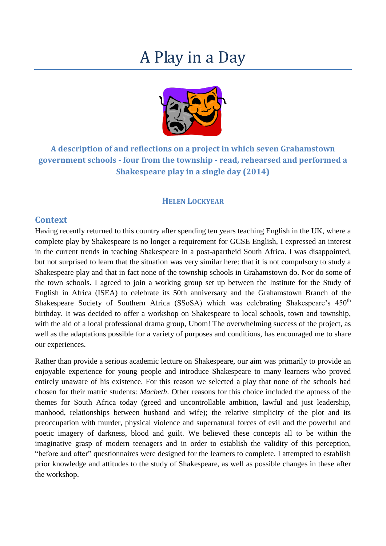# A Play in a Day



**A description of and reflections on a project in which seven Grahamstown government schools - four from the township - read, rehearsed and performed a Shakespeare play in a single day (2014)**

# **HELEN LOCKYEAR**

#### **Context**

Having recently returned to this country after spending ten years teaching English in the UK, where a complete play by Shakespeare is no longer a requirement for GCSE English, I expressed an interest in the current trends in teaching Shakespeare in a post-apartheid South Africa. I was disappointed, but not surprised to learn that the situation was very similar here: that it is not compulsory to study a Shakespeare play and that in fact none of the township schools in Grahamstown do. Nor do some of the town schools. I agreed to join a working group set up between the Institute for the Study of English in Africa (ISEA) to celebrate its 50th anniversary and the Grahamstown Branch of the Shakespeare Society of Southern Africa (SSoSA) which was celebrating Shakespeare's  $450<sup>th</sup>$ birthday. It was decided to offer a workshop on Shakespeare to local schools, town and township, with the aid of a local professional drama group, Ubom! The overwhelming success of the project, as well as the adaptations possible for a variety of purposes and conditions, has encouraged me to share our experiences.

Rather than provide a serious academic lecture on Shakespeare, our aim was primarily to provide an enjoyable experience for young people and introduce Shakespeare to many learners who proved entirely unaware of his existence. For this reason we selected a play that none of the schools had chosen for their matric students: *Macbeth*. Other reasons for this choice included the aptness of the themes for South Africa today (greed and uncontrollable ambition, lawful and just leadership, manhood, relationships between husband and wife); the relative simplicity of the plot and its preoccupation with murder, physical violence and supernatural forces of evil and the powerful and poetic imagery of darkness, blood and guilt. We believed these concepts all to be within the imaginative grasp of modern teenagers and in order to establish the validity of this perception, "before and after" questionnaires were designed for the learners to complete. I attempted to establish prior knowledge and attitudes to the study of Shakespeare, as well as possible changes in these after the workshop.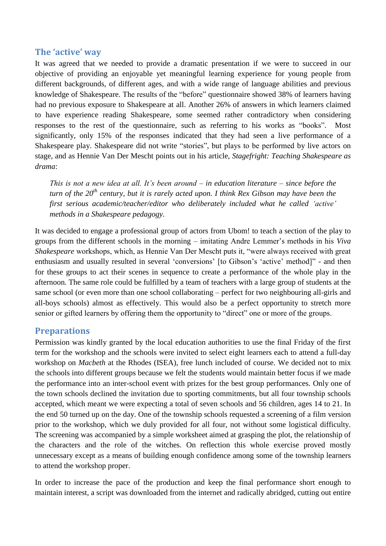# **The 'active' way**

It was agreed that we needed to provide a dramatic presentation if we were to succeed in our objective of providing an enjoyable yet meaningful learning experience for young people from different backgrounds, of different ages, and with a wide range of language abilities and previous knowledge of Shakespeare. The results of the "before" questionnaire showed 38% of learners having had no previous exposure to Shakespeare at all. Another 26% of answers in which learners claimed to have experience reading Shakespeare, some seemed rather contradictory when considering responses to the rest of the questionnaire, such as referring to his works as "books". Most significantly, only 15% of the responses indicated that they had seen a live performance of a Shakespeare play. Shakespeare did not write "stories", but plays to be performed by live actors on stage, and as Hennie Van Der Mescht points out in his article, *Stagefright: Teaching Shakespeare as drama*:

*This is not a new idea at all. It's been around – in education literature – since before the turn of the 20th century, but it is rarely acted upon. I think Rex Gibson may have been the first serious academic/teacher/editor who deliberately included what he called 'active' methods in a Shakespeare pedagogy.*

It was decided to engage a professional group of actors from Ubom! to teach a section of the play to groups from the different schools in the morning – imitating Andre Lemmer's methods in his *Viva Shakespeare* workshops, which, as Hennie Van Der Mescht puts it, "were always received with great enthusiasm and usually resulted in several 'conversions' [to Gibson's 'active' method]" - and then for these groups to act their scenes in sequence to create a performance of the whole play in the afternoon. The same role could be fulfilled by a team of teachers with a large group of students at the same school (or even more than one school collaborating – perfect for two neighbouring all-girls and all-boys schools) almost as effectively. This would also be a perfect opportunity to stretch more senior or gifted learners by offering them the opportunity to "direct" one or more of the groups.

# **Preparations**

Permission was kindly granted by the local education authorities to use the final Friday of the first term for the workshop and the schools were invited to select eight learners each to attend a full-day workshop on *Macbeth* at the Rhodes (ISEA), free lunch included of course. We decided not to mix the schools into different groups because we felt the students would maintain better focus if we made the performance into an inter-school event with prizes for the best group performances. Only one of the town schools declined the invitation due to sporting commitments, but all four township schools accepted, which meant we were expecting a total of seven schools and 56 children, ages 14 to 21. In the end 50 turned up on the day. One of the township schools requested a screening of a film version prior to the workshop, which we duly provided for all four, not without some logistical difficulty. The screening was accompanied by a simple worksheet aimed at grasping the plot, the relationship of the characters and the role of the witches. On reflection this whole exercise proved mostly unnecessary except as a means of building enough confidence among some of the township learners to attend the workshop proper.

In order to increase the pace of the production and keep the final performance short enough to maintain interest, a script was downloaded from the internet and radically abridged, cutting out entire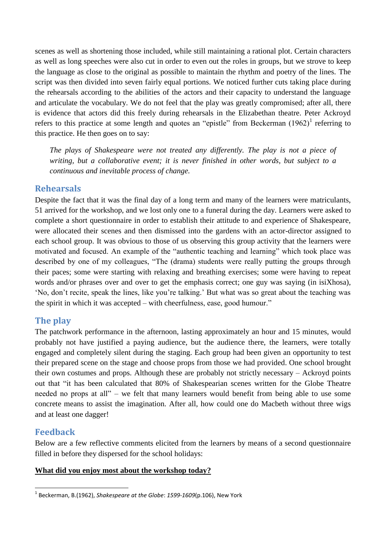scenes as well as shortening those included, while still maintaining a rational plot. Certain characters as well as long speeches were also cut in order to even out the roles in groups, but we strove to keep the language as close to the original as possible to maintain the rhythm and poetry of the lines. The script was then divided into seven fairly equal portions. We noticed further cuts taking place during the rehearsals according to the abilities of the actors and their capacity to understand the language and articulate the vocabulary. We do not feel that the play was greatly compromised; after all, there is evidence that actors did this freely during rehearsals in the Elizabethan theatre. Peter Ackroyd refers to this practice at some length and quotes an "epistle" from Beckerman  $(1962)^1$  referring to this practice. He then goes on to say:

*The plays of Shakespeare were not treated any differently. The play is not a piece of writing, but a collaborative event; it is never finished in other words, but subject to a continuous and inevitable process of change.*

#### **Rehearsals**

Despite the fact that it was the final day of a long term and many of the learners were matriculants, 51 arrived for the workshop, and we lost only one to a funeral during the day. Learners were asked to complete a short questionnaire in order to establish their attitude to and experience of Shakespeare, were allocated their scenes and then dismissed into the gardens with an actor-director assigned to each school group. It was obvious to those of us observing this group activity that the learners were motivated and focused. An example of the "authentic teaching and learning" which took place was described by one of my colleagues, "The (drama) students were really putting the groups through their paces; some were starting with relaxing and breathing exercises; some were having to repeat words and/or phrases over and over to get the emphasis correct; one guy was saying (in isiXhosa), 'No, don't recite, speak the lines, like you're talking.' But what was so great about the teaching was the spirit in which it was accepted – with cheerfulness, ease, good humour."

# **The play**

The patchwork performance in the afternoon, lasting approximately an hour and 15 minutes, would probably not have justified a paying audience, but the audience there, the learners, were totally engaged and completely silent during the staging. Each group had been given an opportunity to test their prepared scene on the stage and choose props from those we had provided. One school brought their own costumes and props. Although these are probably not strictly necessary – Ackroyd points out that "it has been calculated that 80% of Shakespearian scenes written for the Globe Theatre needed no props at all" – we felt that many learners would benefit from being able to use some concrete means to assist the imagination. After all, how could one do Macbeth without three wigs and at least one dagger!

# **Feedback**

Below are a few reflective comments elicited from the learners by means of a second questionnaire filled in before they dispersed for the school holidays:

#### **What did you enjoy most about the workshop today?**

 1 Beckerman, B.(1962), *Shakespeare at the Globe*: *1599-1609*(p.106), New York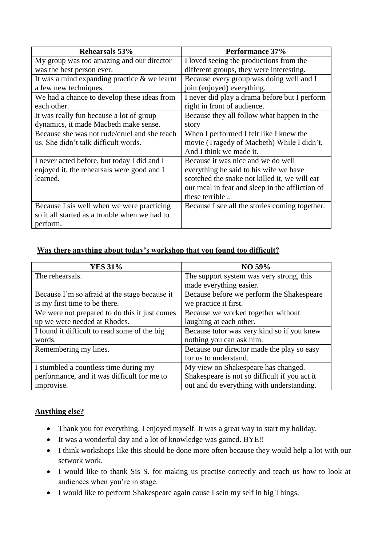| Rehearsals 53%                                  | Performance 37%                                 |
|-------------------------------------------------|-------------------------------------------------|
| My group was too amazing and our director       | I loved seeing the productions from the         |
| was the best person ever.                       | different groups, they were interesting.        |
| It was a mind expanding practice $\&$ we learnt | Because every group was doing well and I        |
| a few new techniques.                           | join (enjoyed) everything.                      |
| We had a chance to develop these ideas from     | I never did play a drama before but I perform   |
| each other.                                     | right in front of audience.                     |
| It was really fun because a lot of group        | Because they all follow what happen in the      |
| dynamics, it made Macbeth make sense.           | story                                           |
| Because she was not rude/cruel and she teach    | When I performed I felt like I knew the         |
| us. She didn't talk difficult words.            | movie (Tragedy of Macbeth) While I didn't,      |
|                                                 | And I think we made it.                         |
| I never acted before, but today I did and I     | Because it was nice and we do well              |
| enjoyed it, the rehearsals were good and I      | everything he said to his wife we have          |
| learned.                                        | scotched the snake not killed it, we will eat   |
|                                                 | our meal in fear and sleep in the affliction of |
|                                                 | these terrible                                  |
| Because I sis well when we were practicing      | Because I see all the stories coming together.  |
| so it all started as a trouble when we had to   |                                                 |
| perform.                                        |                                                 |

#### **Was there anything about today's workshop that you found too difficult?**

| <b>YES 31%</b>                                | NO 59%                                        |
|-----------------------------------------------|-----------------------------------------------|
| The rehearsals.                               | The support system was very strong, this      |
|                                               | made everything easier.                       |
| Because I'm so afraid at the stage because it | Because before we perform the Shakespeare     |
| is my first time to be there.                 | we practice it first.                         |
| We were not prepared to do this it just comes | Because we worked together without            |
| up we were needed at Rhodes.                  | laughing at each other.                       |
| I found it difficult to read some of the big  | Because tutor was very kind so if you knew    |
| words.                                        | nothing you can ask him.                      |
| Remembering my lines.                         | Because our director made the play so easy    |
|                                               | for us to understand.                         |
| I stumbled a countless time during my         | My view on Shakespeare has changed.           |
| performance, and it was difficult for me to   | Shakespeare is not so difficult if you act it |
| improvise.                                    | out and do everything with understanding.     |

# **Anything else?**

- Thank you for everything. I enjoyed myself. It was a great way to start my holiday.
- It was a wonderful day and a lot of knowledge was gained. BYE!!
- I think workshops like this should be done more often because they would help a lot with our setwork work.
- I would like to thank Sis S. for making us practise correctly and teach us how to look at audiences when you're in stage.
- I would like to perform Shakespeare again cause I sein my self in big Things.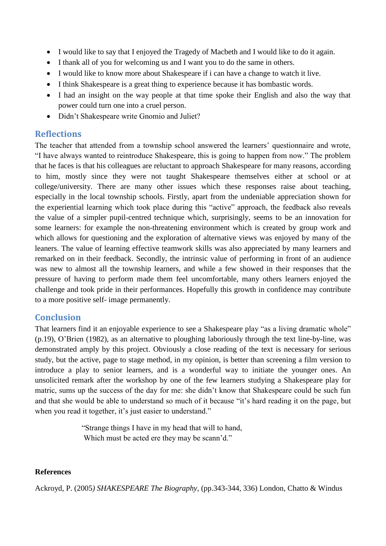- I would like to say that I enjoyed the Tragedy of Macbeth and I would like to do it again.
- I thank all of you for welcoming us and I want you to do the same in others.
- I would like to know more about Shakespeare if i can have a change to watch it live.
- I think Shakespeare is a great thing to experience because it has bombastic words.
- I had an insight on the way people at that time spoke their English and also the way that power could turn one into a cruel person.
- Didn't Shakespeare write Gnomio and Juliet?

# **Reflections**

The teacher that attended from a township school answered the learners' questionnaire and wrote, "I have always wanted to reintroduce Shakespeare, this is going to happen from now." The problem that he faces is that his colleagues are reluctant to approach Shakespeare for many reasons, according to him, mostly since they were not taught Shakespeare themselves either at school or at college/university. There are many other issues which these responses raise about teaching, especially in the local township schools. Firstly, apart from the undeniable appreciation shown for the experiential learning which took place during this "active" approach, the feedback also reveals the value of a simpler pupil-centred technique which, surprisingly, seems to be an innovation for some learners: for example the non-threatening environment which is created by group work and which allows for questioning and the exploration of alternative views was enjoyed by many of the leaners. The value of learning effective teamwork skills was also appreciated by many learners and remarked on in their feedback. Secondly, the intrinsic value of performing in front of an audience was new to almost all the township learners, and while a few showed in their responses that the pressure of having to perform made them feel uncomfortable, many others learners enjoyed the challenge and took pride in their performances. Hopefully this growth in confidence may contribute to a more positive self- image permanently.

# **Conclusion**

That learners find it an enjoyable experience to see a Shakespeare play "as a living dramatic whole" (p.19), O'Brien (1982), as an alternative to ploughing laboriously through the text line-by-line, was demonstrated amply by this project. Obviously a close reading of the text is necessary for serious study, but the active, page to stage method, in my opinion, is better than screening a film version to introduce a play to senior learners, and is a wonderful way to initiate the younger ones. An unsolicited remark after the workshop by one of the few learners studying a Shakespeare play for matric, sums up the success of the day for me: she didn't know that Shakespeare could be such fun and that she would be able to understand so much of it because "it's hard reading it on the page, but when you read it together, it's just easier to understand."

> "Strange things I have in my head that will to hand, Which must be acted ere they may be scann'd."

# **References**

Ackroyd, P. (2005*) SHAKESPEARE The Biography*, (pp.343-344, 336) London, Chatto & Windus